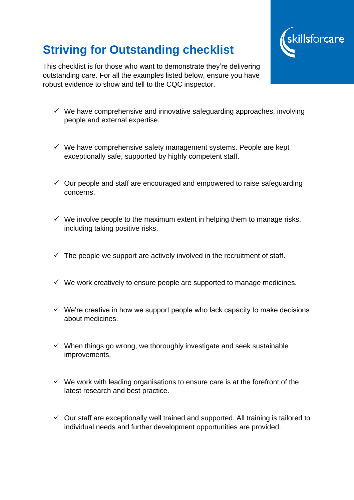## **Striving for Outstanding checklist**



This checklist is for those who want to demonstrate they're delivering outstanding care. For all the examples listed below, ensure you have robust evidence to show and tell to the CQC inspector.

- $\checkmark$  We have comprehensive and innovative safeguarding approaches, involving people and external expertise.
- $\checkmark$  We have comprehensive safety management systems. People are kept exceptionally safe, supported by highly competent staff.
- $\checkmark$  Our people and staff are encouraged and empowered to raise safeguarding concerns.
- $\checkmark$  We involve people to the maximum extent in helping them to manage risks, including taking positive risks.
- $\checkmark$  The people we support are actively involved in the recruitment of staff.
- $\checkmark$  We work creatively to ensure people are supported to manage medicines.
- $\checkmark$  We're creative in how we support people who lack capacity to make decisions about medicines.
- $\checkmark$  When things go wrong, we thoroughly investigate and seek sustainable improvements.
- $\checkmark$  We work with leading organisations to ensure care is at the forefront of the latest research and best practice.
- $\checkmark$  Our staff are exceptionally well trained and supported. All training is tailored to individual needs and further development opportunities are provided.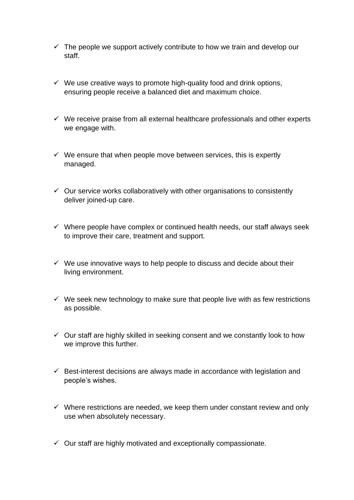- $\checkmark$  The people we support actively contribute to how we train and develop our staff.
- $\checkmark$  We use creative ways to promote high-quality food and drink options, ensuring people receive a balanced diet and maximum choice.
- $\checkmark$  We receive praise from all external healthcare professionals and other experts we engage with.
- $\checkmark$  We ensure that when people move between services, this is expertly managed.
- $\checkmark$  Our service works collaboratively with other organisations to consistently deliver joined-up care.
- $\checkmark$  Where people have complex or continued health needs, our staff always seek to improve their care, treatment and support.
- $\checkmark$  We use innovative ways to help people to discuss and decide about their living environment.
- $\checkmark$  We seek new technology to make sure that people live with as few restrictions as possible.
- $\checkmark$  Our staff are highly skilled in seeking consent and we constantly look to how we improve this further.
- $\checkmark$  Best-interest decisions are always made in accordance with legislation and people's wishes.
- $\checkmark$  Where restrictions are needed, we keep them under constant review and only use when absolutely necessary.
- $\checkmark$  Our staff are highly motivated and exceptionally compassionate.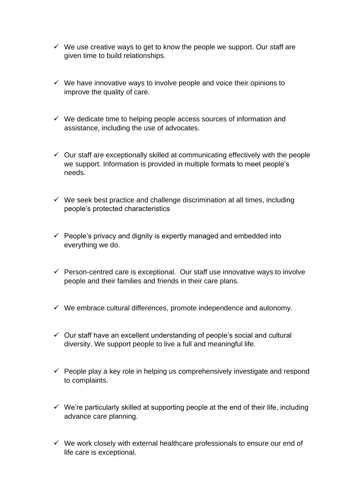- $\checkmark$  We use creative ways to get to know the people we support. Our staff are given time to build relationships.
- $\checkmark$  We have innovative ways to involve people and voice their opinions to improve the quality of care.
- $\checkmark$  We dedicate time to helping people access sources of information and assistance, including the use of advocates.
- $\checkmark$  Our staff are exceptionally skilled at communicating effectively with the people we support. Information is provided in multiple formats to meet people's needs.
- $\checkmark$  We seek best practice and challenge discrimination at all times, including people's protected characteristics
- $\checkmark$  People's privacy and dignity is expertly managed and embedded into everything we do.
- $\checkmark$  Person-centred care is exceptional. Our staff use innovative ways to involve people and their families and friends in their care plans.
- $\checkmark$  We embrace cultural differences, promote independence and autonomy.
- $\checkmark$  Our staff have an excellent understanding of people's social and cultural diversity. We support people to live a full and meaningful life.
- $\checkmark$  People play a key role in helping us comprehensively investigate and respond to complaints.
- $\checkmark$  We're particularly skilled at supporting people at the end of their life, including advance care planning.
- $\checkmark$  We work closely with external healthcare professionals to ensure our end of life care is exceptional.